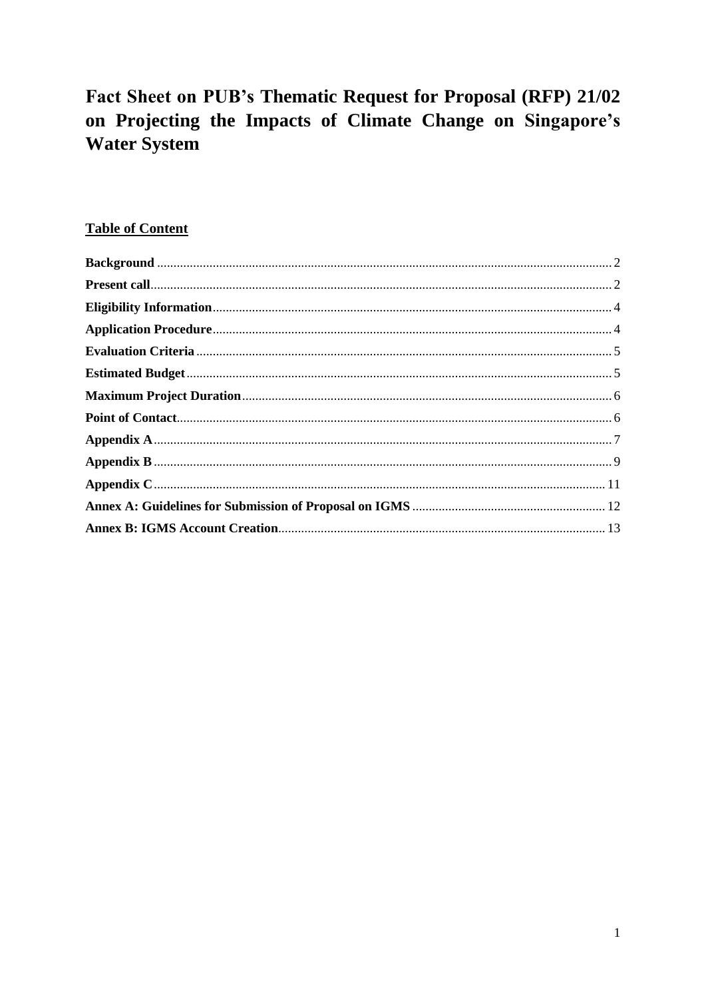# Fact Sheet on PUB's Thematic Request for Proposal (RFP) 21/02 on Projecting the Impacts of Climate Change on Singapore's **Water System**

## **Table of Content**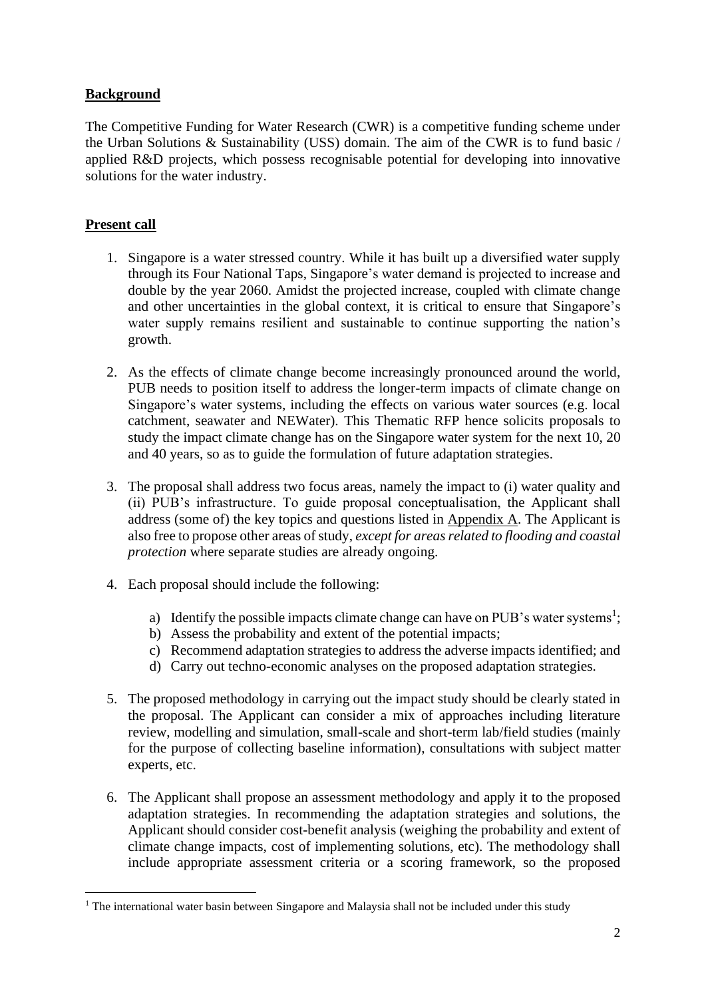## <span id="page-1-0"></span>**Background**

The Competitive Funding for Water Research (CWR) is a competitive funding scheme under the Urban Solutions & Sustainability (USS) domain. The aim of the CWR is to fund basic / applied R&D projects, which possess recognisable potential for developing into innovative solutions for the water industry.

## <span id="page-1-1"></span>**Present call**

- 1. Singapore is a water stressed country. While it has built up a diversified water supply through its Four National Taps, Singapore's water demand is projected to increase and double by the year 2060. Amidst the projected increase, coupled with climate change and other uncertainties in the global context, it is critical to ensure that Singapore's water supply remains resilient and sustainable to continue supporting the nation's growth.
- 2. As the effects of climate change become increasingly pronounced around the world, PUB needs to position itself to address the longer-term impacts of climate change on Singapore's water systems, including the effects on various water sources (e.g. local catchment, seawater and NEWater). This Thematic RFP hence solicits proposals to study the impact climate change has on the Singapore water system for the next 10, 20 and 40 years, so as to guide the formulation of future adaptation strategies.
- 3. The proposal shall address two focus areas, namely the impact to (i) water quality and (ii) PUB's infrastructure. To guide proposal conceptualisation, the Applicant shall address (some of) the key topics and questions listed in Appendix A. The Applicant is also free to propose other areas of study, *except for areas related to flooding and coastal protection* where separate studies are already ongoing.
- 4. Each proposal should include the following:
	- a) Identify the possible impacts climate change can have on PUB's water systems<sup>1</sup>;
	- b) Assess the probability and extent of the potential impacts;
	- c) Recommend adaptation strategies to address the adverse impacts identified; and
	- d) Carry out techno-economic analyses on the proposed adaptation strategies.
- 5. The proposed methodology in carrying out the impact study should be clearly stated in the proposal. The Applicant can consider a mix of approaches including literature review, modelling and simulation, small-scale and short-term lab/field studies (mainly for the purpose of collecting baseline information), consultations with subject matter experts, etc.
- 6. The Applicant shall propose an assessment methodology and apply it to the proposed adaptation strategies. In recommending the adaptation strategies and solutions, the Applicant should consider cost-benefit analysis (weighing the probability and extent of climate change impacts, cost of implementing solutions, etc). The methodology shall include appropriate assessment criteria or a scoring framework, so the proposed

<sup>&</sup>lt;sup>1</sup> The international water basin between Singapore and Malaysia shall not be included under this study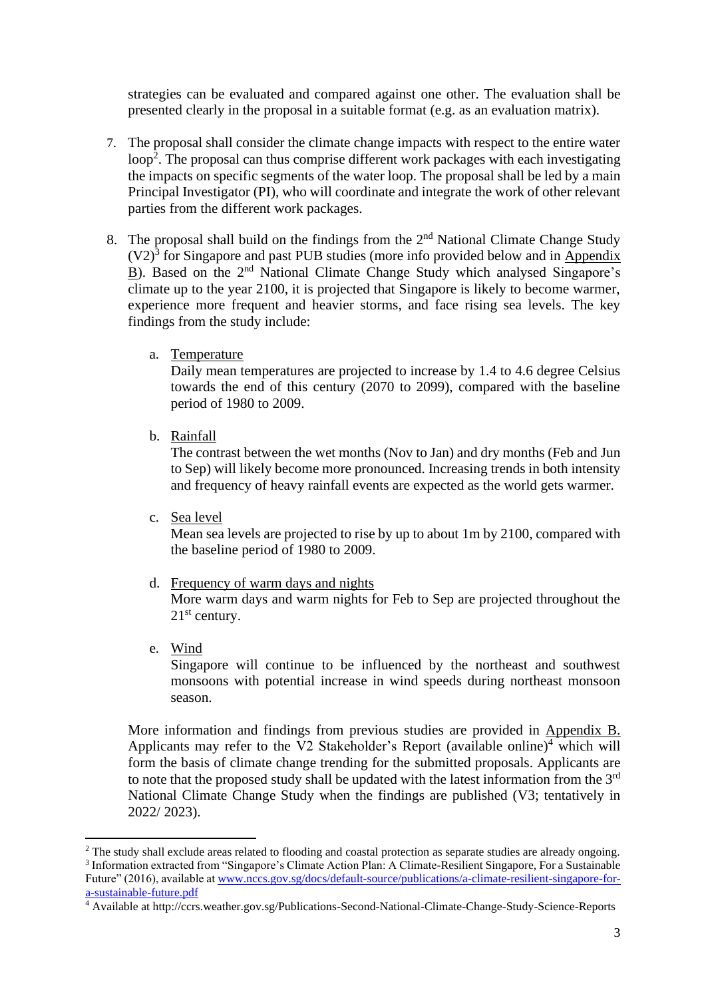strategies can be evaluated and compared against one other. The evaluation shall be presented clearly in the proposal in a suitable format (e.g. as an evaluation matrix).

- 7. The proposal shall consider the climate change impacts with respect to the entire water loop<sup>2</sup>. The proposal can thus comprise different work packages with each investigating the impacts on specific segments of the water loop. The proposal shall be led by a main Principal Investigator (PI), who will coordinate and integrate the work of other relevant parties from the different work packages.
- 8. The proposal shall build on the findings from the  $2<sup>nd</sup>$  National Climate Change Study  $(V2)<sup>3</sup>$  for Singapore and past PUB studies (more info provided below and in Appendix B). Based on the 2<sup>nd</sup> National Climate Change Study which analysed Singapore's climate up to the year 2100, it is projected that Singapore is likely to become warmer, experience more frequent and heavier storms, and face rising sea levels. The key findings from the study include:
	- a. Temperature

Daily mean temperatures are projected to increase by 1.4 to 4.6 degree Celsius towards the end of this century (2070 to 2099), compared with the baseline period of 1980 to 2009.

b. Rainfall

The contrast between the wet months (Nov to Jan) and dry months (Feb and Jun to Sep) will likely become more pronounced. Increasing trends in both intensity and frequency of heavy rainfall events are expected as the world gets warmer.

c. Sea level

Mean sea levels are projected to rise by up to about 1m by 2100, compared with the baseline period of 1980 to 2009.

d. Frequency of warm days and nights

More warm days and warm nights for Feb to Sep are projected throughout the 21<sup>st</sup> century.

e. Wind

Singapore will continue to be influenced by the northeast and southwest monsoons with potential increase in wind speeds during northeast monsoon season.

More information and findings from previous studies are provided in Appendix B. Applicants may refer to the V2 Stakeholder's Report (available online)<sup>4</sup> which will form the basis of climate change trending for the submitted proposals. Applicants are to note that the proposed study shall be updated with the latest information from the  $3<sup>rd</sup>$ National Climate Change Study when the findings are published (V3; tentatively in 2022/ 2023).

<sup>&</sup>lt;sup>2</sup> The study shall exclude areas related to flooding and coastal protection as separate studies are already ongoing. 3 Information extracted from "Singapore's Climate Action Plan: A Climate-Resilient Singapore, For a Sustainable Future" (2016), available a[t www.nccs.gov.sg/docs/default-source/publications/a-climate-resilient-singapore-for](http://www.nccs.gov.sg/docs/default-source/publications/a-climate-resilient-singapore-for-a-sustainable-future.pdf)[a-sustainable-future.pdf](http://www.nccs.gov.sg/docs/default-source/publications/a-climate-resilient-singapore-for-a-sustainable-future.pdf)

<sup>&</sup>lt;sup>4</sup> Available at http://ccrs.weather.gov.sg/Publications-Second-National-Climate-Change-Study-Science-Reports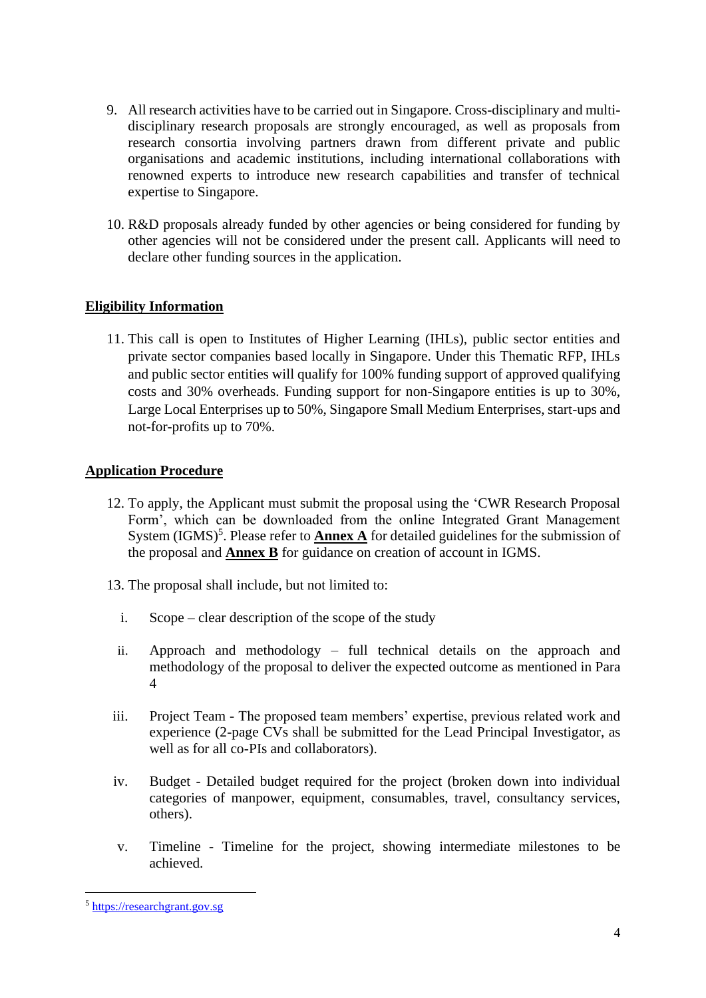- 9. All research activities have to be carried out in Singapore. Cross-disciplinary and multidisciplinary research proposals are strongly encouraged, as well as proposals from research consortia involving partners drawn from different private and public organisations and academic institutions, including international collaborations with renowned experts to introduce new research capabilities and transfer of technical expertise to Singapore.
- 10. R&D proposals already funded by other agencies or being considered for funding by other agencies will not be considered under the present call. Applicants will need to declare other funding sources in the application.

### <span id="page-3-0"></span>**Eligibility Information**

11. This call is open to Institutes of Higher Learning (IHLs), public sector entities and private sector companies based locally in Singapore. Under this Thematic RFP, IHLs and public sector entities will qualify for 100% funding support of approved qualifying costs and 30% overheads. Funding support for non-Singapore entities is up to 30%, Large Local Enterprises up to 50%, Singapore Small Medium Enterprises, start-ups and not-for-profits up to 70%.

### <span id="page-3-1"></span>**Application Procedure**

- 12. To apply, the Applicant must submit the proposal using the 'CWR Research Proposal Form', which can be downloaded from the online Integrated Grant Management System  $(IGMS)^5$ . Please refer to **Annex A** for detailed guidelines for the submission of the proposal and **Annex B** for guidance on creation of account in IGMS.
- 13. The proposal shall include, but not limited to:
	- i. Scope clear description of the scope of the study
	- ii. Approach and methodology full technical details on the approach and methodology of the proposal to deliver the expected outcome as mentioned in Para 4
- iii. Project Team The proposed team members' expertise, previous related work and experience (2-page CVs shall be submitted for the Lead Principal Investigator, as well as for all co-PIs and collaborators).
- iv. Budget Detailed budget required for the project (broken down into individual categories of manpower, equipment, consumables, travel, consultancy services, others).
- v. Timeline Timeline for the project, showing intermediate milestones to be achieved.

<sup>5</sup> [https://researchgrant.gov.sg](https://researchgrant.gov.sg/)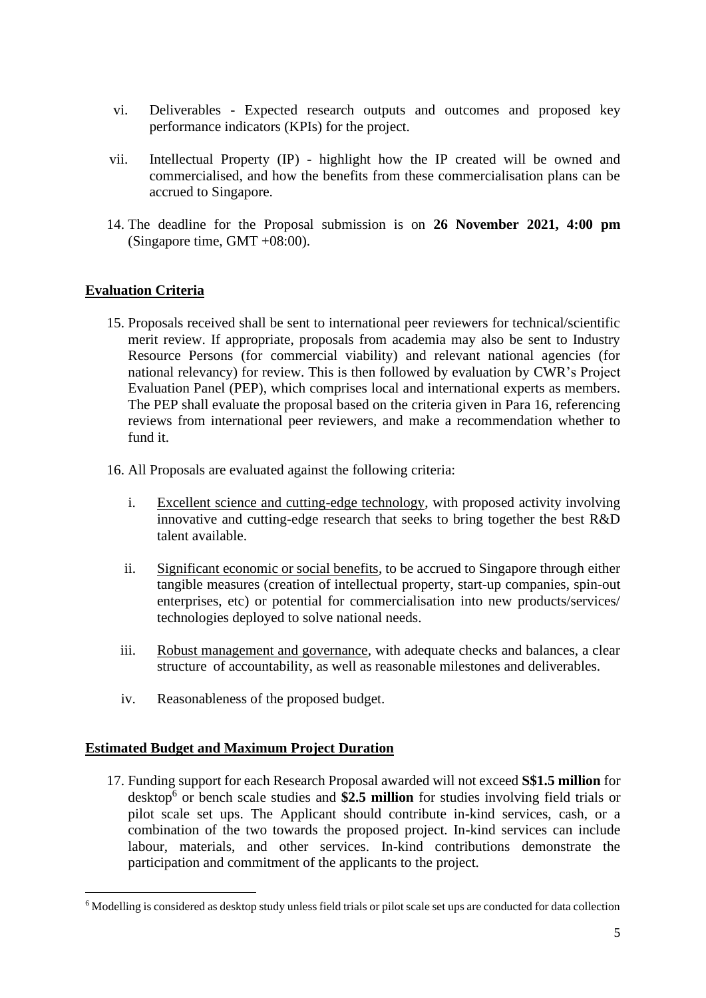- vi. Deliverables Expected research outputs and outcomes and proposed key performance indicators (KPIs) for the project.
- vii. Intellectual Property (IP) highlight how the IP created will be owned and commercialised, and how the benefits from these commercialisation plans can be accrued to Singapore.
- 14. The deadline for the Proposal submission is on **26 November 2021, 4:00 pm** (Singapore time, GMT +08:00).

## <span id="page-4-0"></span>**Evaluation Criteria**

- 15. Proposals received shall be sent to international peer reviewers for technical/scientific merit review. If appropriate, proposals from academia may also be sent to Industry Resource Persons (for commercial viability) and relevant national agencies (for national relevancy) for review. This is then followed by evaluation by CWR's Project Evaluation Panel (PEP), which comprises local and international experts as members. The PEP shall evaluate the proposal based on the criteria given in Para 16, referencing reviews from international peer reviewers, and make a recommendation whether to fund it.
- 16. All Proposals are evaluated against the following criteria:
	- i. Excellent science and cutting-edge technology, with proposed activity involving innovative and cutting-edge research that seeks to bring together the best R&D talent available.
	- ii. Significant economic or social benefits, to be accrued to Singapore through either tangible measures (creation of intellectual property, start-up companies, spin-out enterprises, etc) or potential for commercialisation into new products/services/ technologies deployed to solve national needs.
	- iii. Robust management and governance, with adequate checks and balances, a clear structure of accountability, as well as reasonable milestones and deliverables.
	- iv. Reasonableness of the proposed budget.

### <span id="page-4-1"></span>**Estimated Budget and Maximum Project Duration**

17. Funding support for each Research Proposal awarded will not exceed **S\$1.5 million** for desktop<sup>6</sup> or bench scale studies and \$2.5 million for studies involving field trials or pilot scale set ups. The Applicant should contribute in-kind services, cash, or a combination of the two towards the proposed project. In-kind services can include labour, materials, and other services. In-kind contributions demonstrate the participation and commitment of the applicants to the project.

<sup>6</sup> Modelling is considered as desktop study unless field trials or pilot scale set ups are conducted for data collection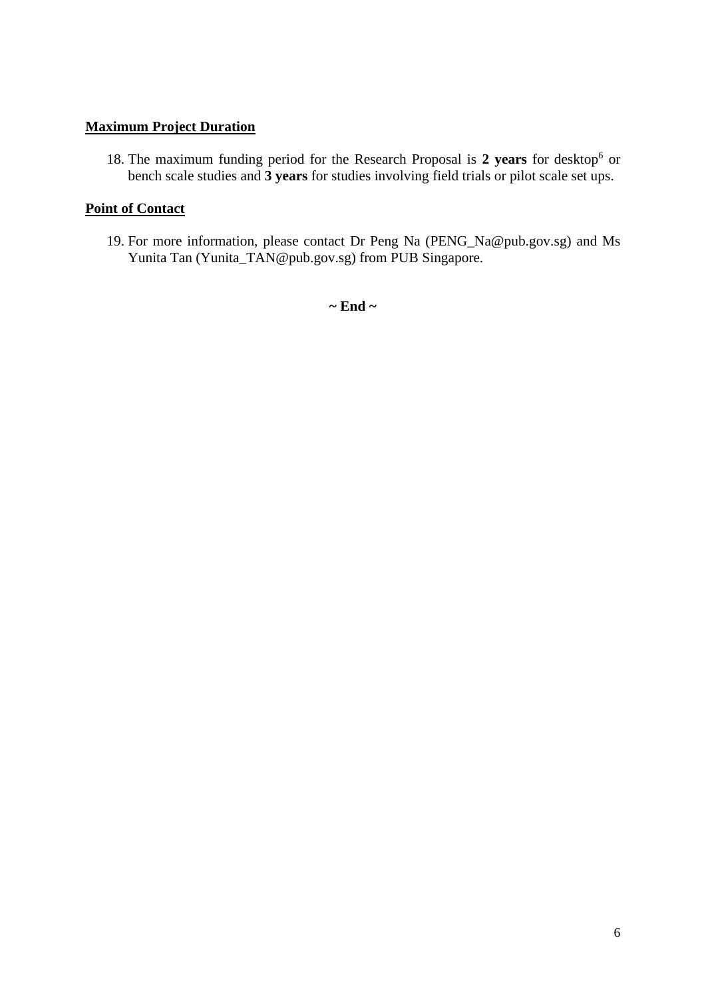## <span id="page-5-0"></span>**Maximum Project Duration**

18. The maximum funding period for the Research Proposal is 2 years for desktop<sup>6</sup> or bench scale studies and **3 years** for studies involving field trials or pilot scale set ups.

## <span id="page-5-1"></span>**Point of Contact**

19. For more information, please contact Dr Peng Na (PENG\_Na@pub.gov.sg) and Ms Yunita Tan (Yunita\_TAN@pub.gov.sg) from PUB Singapore.

**~ End ~**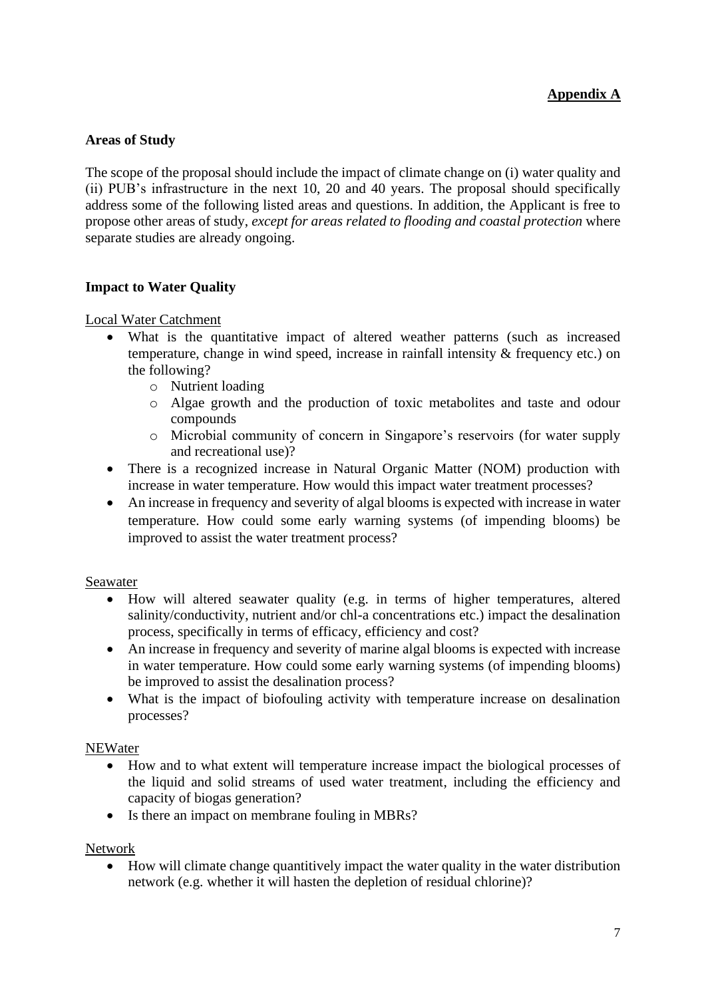## <span id="page-6-0"></span>**Areas of Study**

The scope of the proposal should include the impact of climate change on (i) water quality and (ii) PUB's infrastructure in the next 10, 20 and 40 years. The proposal should specifically address some of the following listed areas and questions. In addition, the Applicant is free to propose other areas of study, *except for areas related to flooding and coastal protection* where separate studies are already ongoing.

### **Impact to Water Quality**

Local Water Catchment

- What is the quantitative impact of altered weather patterns (such as increased temperature, change in wind speed, increase in rainfall intensity & frequency etc.) on the following?
	- o Nutrient loading
	- o Algae growth and the production of toxic metabolites and taste and odour compounds
	- o Microbial community of concern in Singapore's reservoirs (for water supply and recreational use)?
- There is a recognized increase in Natural Organic Matter (NOM) production with increase in water temperature. How would this impact water treatment processes?
- An increase in frequency and severity of algal blooms is expected with increase in water temperature. How could some early warning systems (of impending blooms) be improved to assist the water treatment process?

#### Seawater

- How will altered seawater quality (e.g. in terms of higher temperatures, altered salinity/conductivity, nutrient and/or chl-a concentrations etc.) impact the desalination process, specifically in terms of efficacy, efficiency and cost?
- An increase in frequency and severity of marine algal blooms is expected with increase in water temperature. How could some early warning systems (of impending blooms) be improved to assist the desalination process?
- What is the impact of biofouling activity with temperature increase on desalination processes?

#### **NEWater**

- How and to what extent will temperature increase impact the biological processes of the liquid and solid streams of used water treatment, including the efficiency and capacity of biogas generation?
- Is there an impact on membrane fouling in MBRs?

#### Network

• How will climate change quantitively impact the water quality in the water distribution network (e.g. whether it will hasten the depletion of residual chlorine)?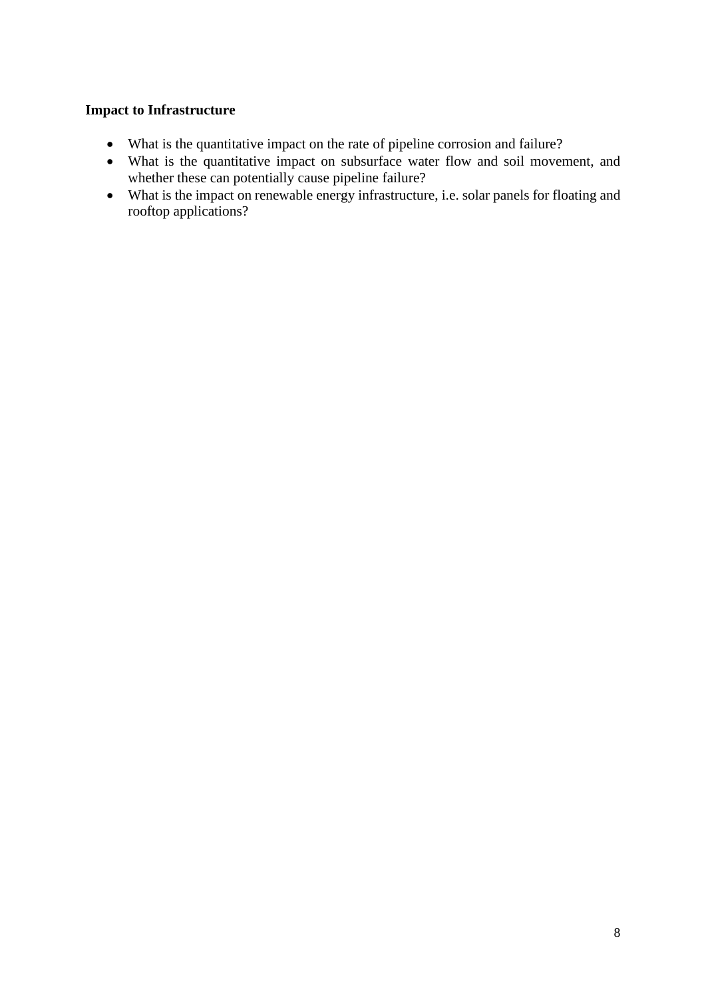### **Impact to Infrastructure**

- What is the quantitative impact on the rate of pipeline corrosion and failure?
- What is the quantitative impact on subsurface water flow and soil movement, and whether these can potentially cause pipeline failure?
- What is the impact on renewable energy infrastructure, i.e. solar panels for floating and rooftop applications?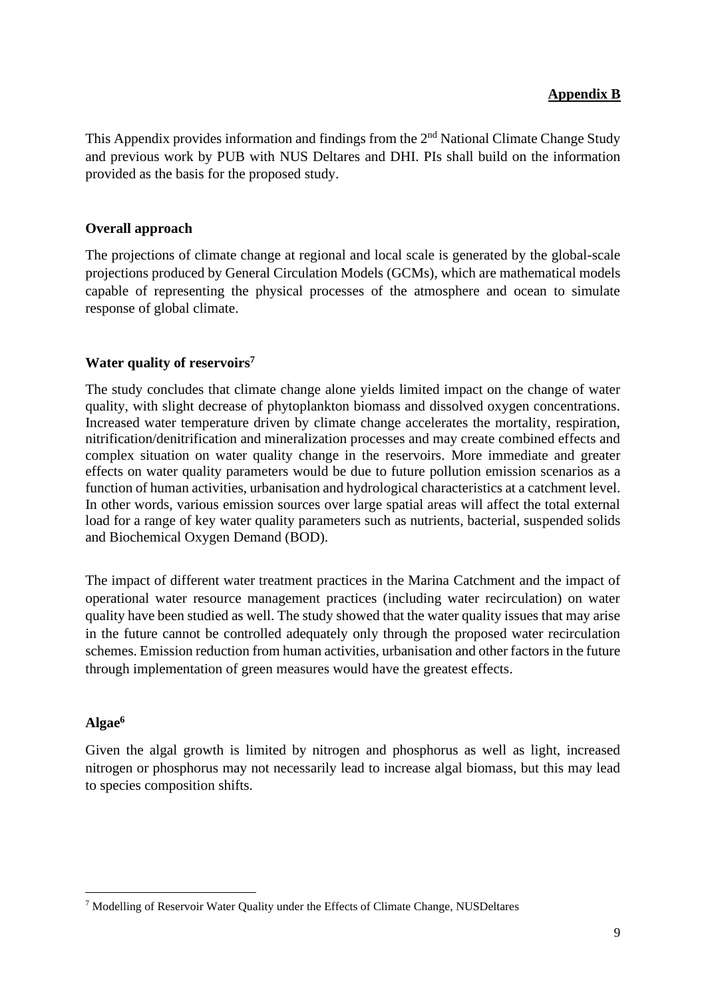## **Appendix B**

<span id="page-8-0"></span>This Appendix provides information and findings from the 2<sup>nd</sup> National Climate Change Study and previous work by PUB with NUS Deltares and DHI. PIs shall build on the information provided as the basis for the proposed study.

#### **Overall approach**

The projections of climate change at regional and local scale is generated by the global-scale projections produced by General Circulation Models (GCMs), which are mathematical models capable of representing the physical processes of the atmosphere and ocean to simulate response of global climate.

#### **Water quality of reservoirs<sup>7</sup>**

The study concludes that climate change alone yields limited impact on the change of water quality, with slight decrease of phytoplankton biomass and dissolved oxygen concentrations. Increased water temperature driven by climate change accelerates the mortality, respiration, nitrification/denitrification and mineralization processes and may create combined effects and complex situation on water quality change in the reservoirs. More immediate and greater effects on water quality parameters would be due to future pollution emission scenarios as a function of human activities, urbanisation and hydrological characteristics at a catchment level. In other words, various emission sources over large spatial areas will affect the total external load for a range of key water quality parameters such as nutrients, bacterial, suspended solids and Biochemical Oxygen Demand (BOD).

The impact of different water treatment practices in the Marina Catchment and the impact of operational water resource management practices (including water recirculation) on water quality have been studied as well. The study showed that the water quality issues that may arise in the future cannot be controlled adequately only through the proposed water recirculation schemes. Emission reduction from human activities, urbanisation and other factors in the future through implementation of green measures would have the greatest effects.

#### **Algae<sup>6</sup>**

Given the algal growth is limited by nitrogen and phosphorus as well as light, increased nitrogen or phosphorus may not necessarily lead to increase algal biomass, but this may lead to species composition shifts.

<sup>7</sup> Modelling of Reservoir Water Quality under the Effects of Climate Change, NUSDeltares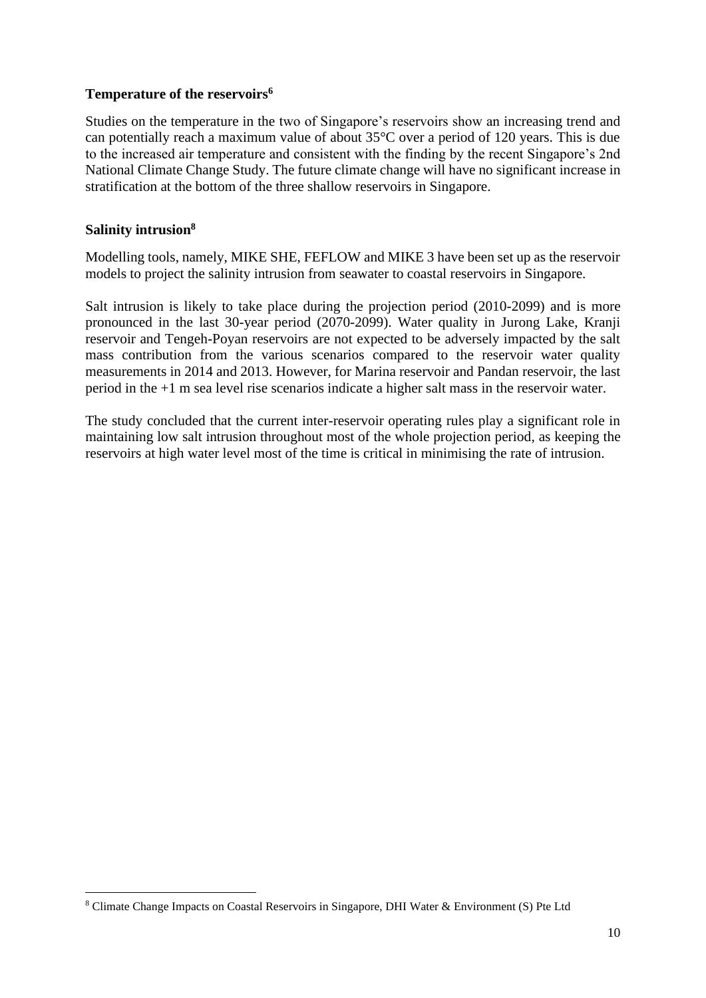#### **Temperature of the reservoirs<sup>6</sup>**

Studies on the temperature in the two of Singapore's reservoirs show an increasing trend and can potentially reach a maximum value of about 35°C over a period of 120 years. This is due to the increased air temperature and consistent with the finding by the recent Singapore's 2nd National Climate Change Study. The future climate change will have no significant increase in stratification at the bottom of the three shallow reservoirs in Singapore.

#### **Salinity intrusion<sup>8</sup>**

Modelling tools, namely, MIKE SHE, FEFLOW and MIKE 3 have been set up as the reservoir models to project the salinity intrusion from seawater to coastal reservoirs in Singapore.

Salt intrusion is likely to take place during the projection period (2010-2099) and is more pronounced in the last 30-year period (2070-2099). Water quality in Jurong Lake, Kranji reservoir and Tengeh-Poyan reservoirs are not expected to be adversely impacted by the salt mass contribution from the various scenarios compared to the reservoir water quality measurements in 2014 and 2013. However, for Marina reservoir and Pandan reservoir, the last period in the +1 m sea level rise scenarios indicate a higher salt mass in the reservoir water.

The study concluded that the current inter-reservoir operating rules play a significant role in maintaining low salt intrusion throughout most of the whole projection period, as keeping the reservoirs at high water level most of the time is critical in minimising the rate of intrusion.

<sup>8</sup> Climate Change Impacts on Coastal Reservoirs in Singapore, DHI Water & Environment (S) Pte Ltd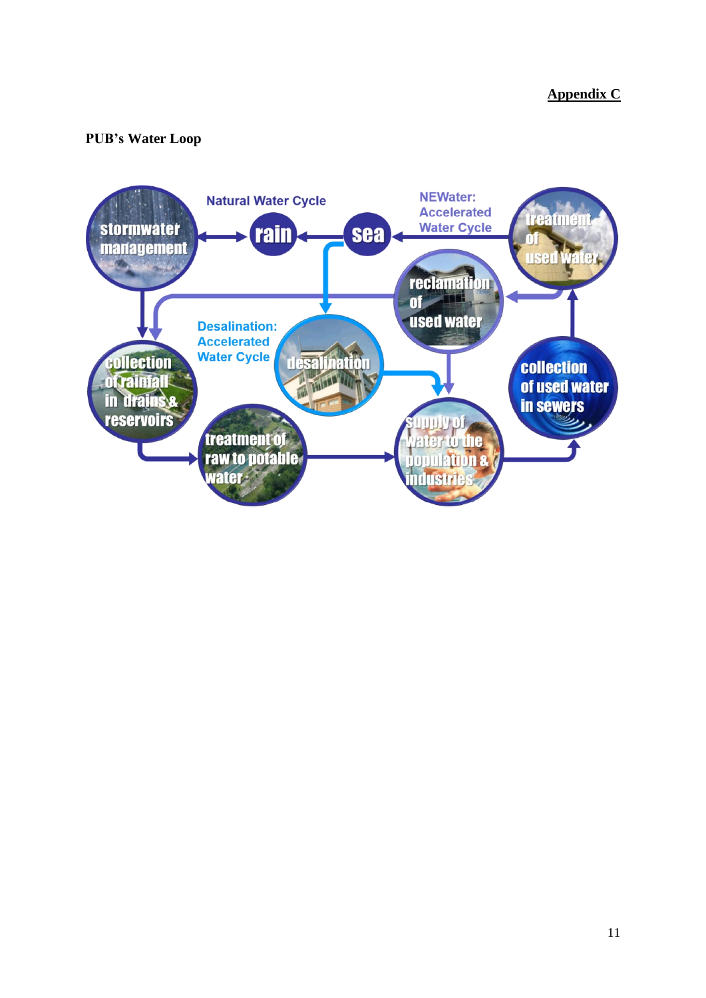## <span id="page-10-0"></span>**PUB's Water Loop**

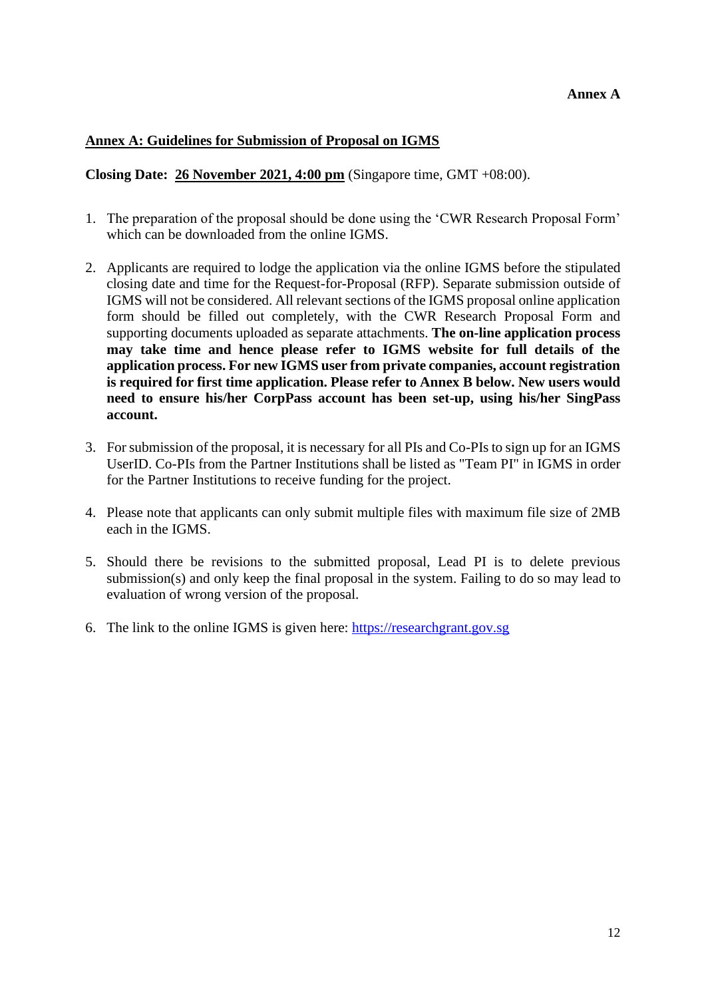#### <span id="page-11-0"></span>**Annex A: Guidelines for Submission of Proposal on IGMS**

**Closing Date: 26 November 2021, 4:00 pm** (Singapore time, GMT +08:00).

- 1. The preparation of the proposal should be done using the 'CWR Research Proposal Form' which can be downloaded from the online IGMS.
- 2. Applicants are required to lodge the application via the online IGMS before the stipulated closing date and time for the Request-for-Proposal (RFP). Separate submission outside of IGMS will not be considered. All relevant sections of the IGMS proposal online application form should be filled out completely, with the CWR Research Proposal Form and supporting documents uploaded as separate attachments. **The on-line application process may take time and hence please refer to IGMS website for full details of the application process. For new IGMS user from private companies, account registration is required for first time application. Please refer to Annex B below. New users would need to ensure his/her CorpPass account has been set-up, using his/her SingPass account.**
- 3. For submission of the proposal, it is necessary for all PIs and Co-PIs to sign up for an IGMS UserID. Co-PIs from the Partner Institutions shall be listed as "Team PI" in IGMS in order for the Partner Institutions to receive funding for the project.
- 4. Please note that applicants can only submit multiple files with maximum file size of 2MB each in the IGMS.
- 5. Should there be revisions to the submitted proposal, Lead PI is to delete previous submission(s) and only keep the final proposal in the system. Failing to do so may lead to evaluation of wrong version of the proposal.
- 6. The link to the online IGMS is given here: [https://researchgrant.gov.sg](https://researchgrant.gov.sg/)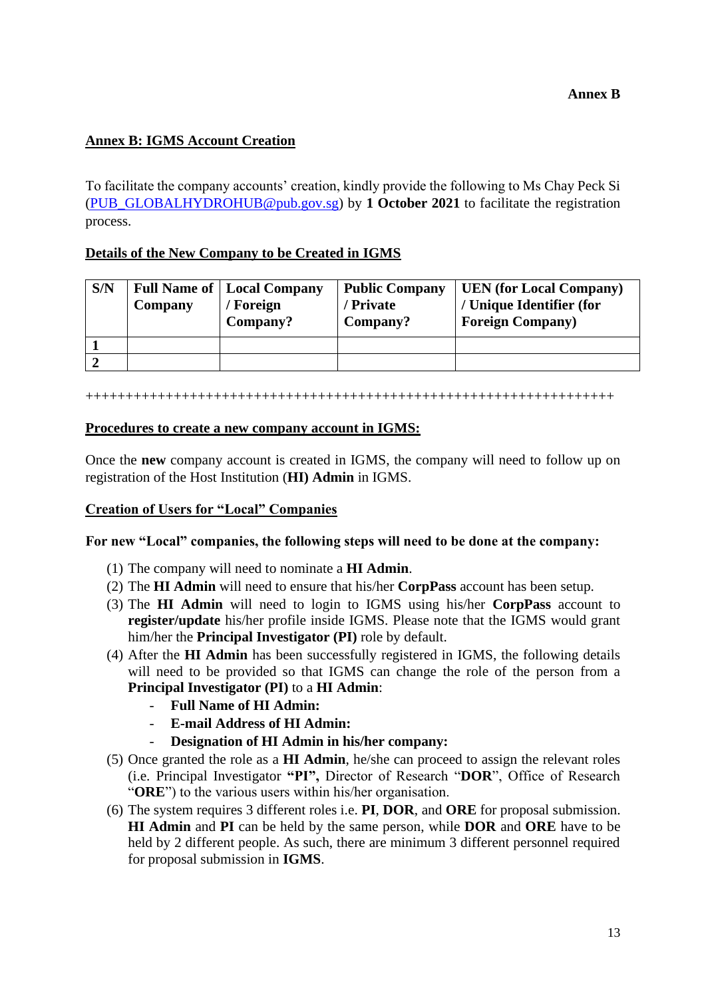## <span id="page-12-0"></span>**Annex B: IGMS Account Creation**

To facilitate the company accounts' creation, kindly provide the following to Ms Chay Peck Si [\(PUB\\_GLOBALHYDROHUB@pub.gov.sg\)](mailto:PUB_GLOBALHYDROHUB@pub.gov.sg) by **1 October 2021** to facilitate the registration process.

### **Details of the New Company to be Created in IGMS**

| S/N | Company | <b>Full Name of   Local Company</b><br>' Foreign<br>Company? | <b>Public Company</b><br>' Private<br>Company? | <b>UEN</b> (for Local Company)<br>/ Unique Identifier (for<br><b>Foreign Company</b> ) |
|-----|---------|--------------------------------------------------------------|------------------------------------------------|----------------------------------------------------------------------------------------|
|     |         |                                                              |                                                |                                                                                        |
|     |         |                                                              |                                                |                                                                                        |

#### ++++++++++++++++++++++++++++++++++++++++++++++++++++++++++++++++++

#### **Procedures to create a new company account in IGMS:**

Once the **new** company account is created in IGMS, the company will need to follow up on registration of the Host Institution (**HI) Admin** in IGMS.

#### **Creation of Users for "Local" Companies**

#### **For new "Local" companies, the following steps will need to be done at the company:**

- (1) The company will need to nominate a **HI Admin**.
- (2) The **HI Admin** will need to ensure that his/her **CorpPass** account has been setup.
- (3) The **HI Admin** will need to login to IGMS using his/her **CorpPass** account to **register/update** his/her profile inside IGMS. Please note that the IGMS would grant him/her the **Principal Investigator (PI)** role by default.
- (4) After the **HI Admin** has been successfully registered in IGMS, the following details will need to be provided so that IGMS can change the role of the person from a **Principal Investigator (PI)** to a **HI Admin**:
	- **Full Name of HI Admin:**
	- **E-mail Address of HI Admin:**
	- **Designation of HI Admin in his/her company:**
- (5) Once granted the role as a **HI Admin**, he/she can proceed to assign the relevant roles (i.e. Principal Investigator **"PI",** Director of Research "**DOR**", Office of Research "**ORE**") to the various users within his/her organisation.
- (6) The system requires 3 different roles i.e. **PI**, **DOR**, and **ORE** for proposal submission. **HI Admin** and **PI** can be held by the same person, while **DOR** and **ORE** have to be held by 2 different people. As such, there are minimum 3 different personnel required for proposal submission in **IGMS**.